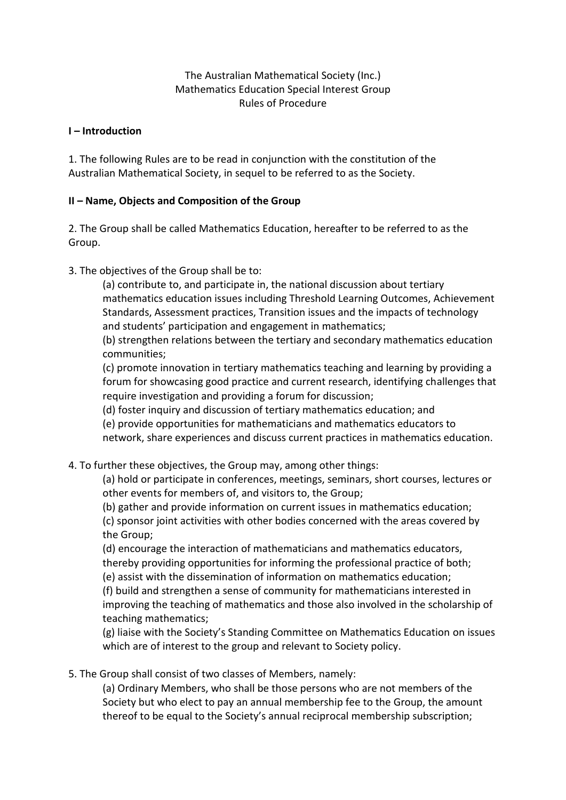## The Australian Mathematical Society (Inc.) Mathematics Education Special Interest Group Rules of Procedure

#### **I – Introduction**

1. The following Rules are to be read in conjunction with the constitution of the Australian Mathematical Society, in sequel to be referred to as the Society.

### **II – Name, Objects and Composition of the Group**

2. The Group shall be called Mathematics Education, hereafter to be referred to as the Group.

3. The objectives of the Group shall be to:

(a) contribute to, and participate in, the national discussion about tertiary mathematics education issues including Threshold Learning Outcomes, Achievement Standards, Assessment practices, Transition issues and the impacts of technology and students' participation and engagement in mathematics;

(b) strengthen relations between the tertiary and secondary mathematics education communities;

(c) promote innovation in tertiary mathematics teaching and learning by providing a forum for showcasing good practice and current research, identifying challenges that require investigation and providing a forum for discussion;

(d) foster inquiry and discussion of tertiary mathematics education; and

(e) provide opportunities for mathematicians and mathematics educators to

network, share experiences and discuss current practices in mathematics education.

# 4. To further these objectives, the Group may, among other things:

(a) hold or participate in conferences, meetings, seminars, short courses, lectures or other events for members of, and visitors to, the Group;

(b) gather and provide information on current issues in mathematics education; (c) sponsor joint activities with other bodies concerned with the areas covered by the Group;

(d) encourage the interaction of mathematicians and mathematics educators, thereby providing opportunities for informing the professional practice of both; (e) assist with the dissemination of information on mathematics education;

(f) build and strengthen a sense of community for mathematicians interested in improving the teaching of mathematics and those also involved in the scholarship of teaching mathematics;

(g) liaise with the Society's Standing Committee on Mathematics Education on issues which are of interest to the group and relevant to Society policy.

5. The Group shall consist of two classes of Members, namely:

(a) Ordinary Members, who shall be those persons who are not members of the Society but who elect to pay an annual membership fee to the Group, the amount thereof to be equal to the Society's annual reciprocal membership subscription;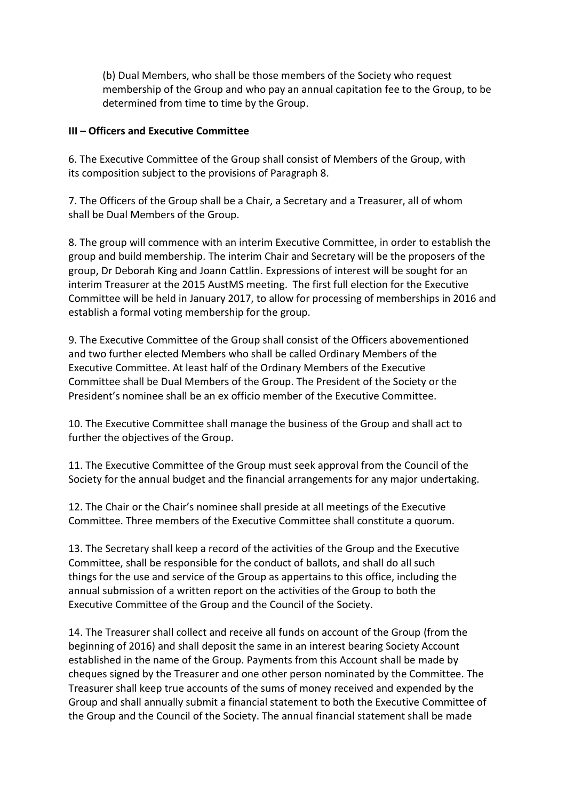(b) Dual Members, who shall be those members of the Society who request membership of the Group and who pay an annual capitation fee to the Group, to be determined from time to time by the Group.

#### **III – Officers and Executive Committee**

6. The Executive Committee of the Group shall consist of Members of the Group, with its composition subject to the provisions of Paragraph 8.

7. The Officers of the Group shall be a Chair, a Secretary and a Treasurer, all of whom shall be Dual Members of the Group.

8. The group will commence with an interim Executive Committee, in order to establish the group and build membership. The interim Chair and Secretary will be the proposers of the group, Dr Deborah King and Joann Cattlin. Expressions of interest will be sought for an interim Treasurer at the 2015 AustMS meeting. The first full election for the Executive Committee will be held in January 2017, to allow for processing of memberships in 2016 and establish a formal voting membership for the group.

9. The Executive Committee of the Group shall consist of the Officers abovementioned and two further elected Members who shall be called Ordinary Members of the Executive Committee. At least half of the Ordinary Members of the Executive Committee shall be Dual Members of the Group. The President of the Society or the President's nominee shall be an ex officio member of the Executive Committee.

10. The Executive Committee shall manage the business of the Group and shall act to further the objectives of the Group.

11. The Executive Committee of the Group must seek approval from the Council of the Society for the annual budget and the financial arrangements for any major undertaking.

12. The Chair or the Chair's nominee shall preside at all meetings of the Executive Committee. Three members of the Executive Committee shall constitute a quorum.

13. The Secretary shall keep a record of the activities of the Group and the Executive Committee, shall be responsible for the conduct of ballots, and shall do all such things for the use and service of the Group as appertains to this office, including the annual submission of a written report on the activities of the Group to both the Executive Committee of the Group and the Council of the Society.

14. The Treasurer shall collect and receive all funds on account of the Group (from the beginning of 2016) and shall deposit the same in an interest bearing Society Account established in the name of the Group. Payments from this Account shall be made by cheques signed by the Treasurer and one other person nominated by the Committee. The Treasurer shall keep true accounts of the sums of money received and expended by the Group and shall annually submit a financial statement to both the Executive Committee of the Group and the Council of the Society. The annual financial statement shall be made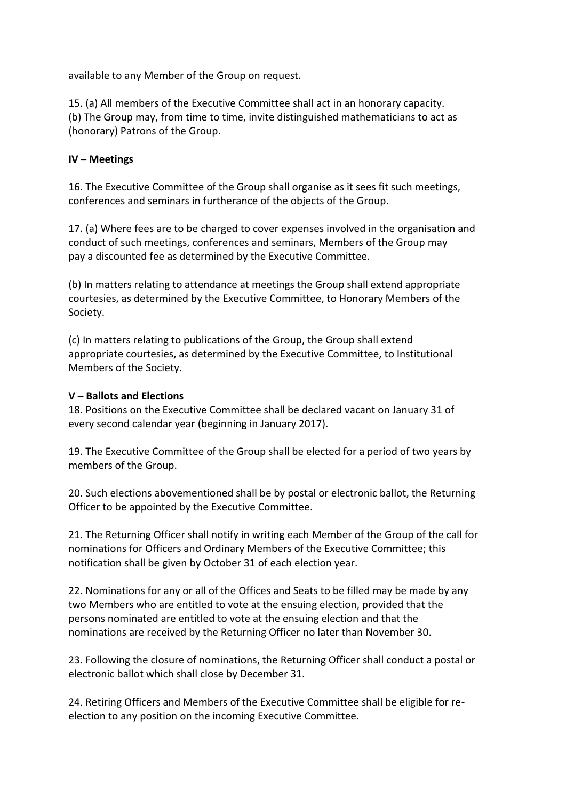available to any Member of the Group on request.

15. (a) All members of the Executive Committee shall act in an honorary capacity. (b) The Group may, from time to time, invite distinguished mathematicians to act as (honorary) Patrons of the Group.

#### **IV – Meetings**

16. The Executive Committee of the Group shall organise as it sees fit such meetings, conferences and seminars in furtherance of the objects of the Group.

17. (a) Where fees are to be charged to cover expenses involved in the organisation and conduct of such meetings, conferences and seminars, Members of the Group may pay a discounted fee as determined by the Executive Committee.

(b) In matters relating to attendance at meetings the Group shall extend appropriate courtesies, as determined by the Executive Committee, to Honorary Members of the Society.

(c) In matters relating to publications of the Group, the Group shall extend appropriate courtesies, as determined by the Executive Committee, to Institutional Members of the Society.

#### **V – Ballots and Elections**

18. Positions on the Executive Committee shall be declared vacant on January 31 of every second calendar year (beginning in January 2017).

19. The Executive Committee of the Group shall be elected for a period of two years by members of the Group.

20. Such elections abovementioned shall be by postal or electronic ballot, the Returning Officer to be appointed by the Executive Committee.

21. The Returning Officer shall notify in writing each Member of the Group of the call for nominations for Officers and Ordinary Members of the Executive Committee; this notification shall be given by October 31 of each election year.

22. Nominations for any or all of the Offices and Seats to be filled may be made by any two Members who are entitled to vote at the ensuing election, provided that the persons nominated are entitled to vote at the ensuing election and that the nominations are received by the Returning Officer no later than November 30.

23. Following the closure of nominations, the Returning Officer shall conduct a postal or electronic ballot which shall close by December 31.

24. Retiring Officers and Members of the Executive Committee shall be eligible for reelection to any position on the incoming Executive Committee.